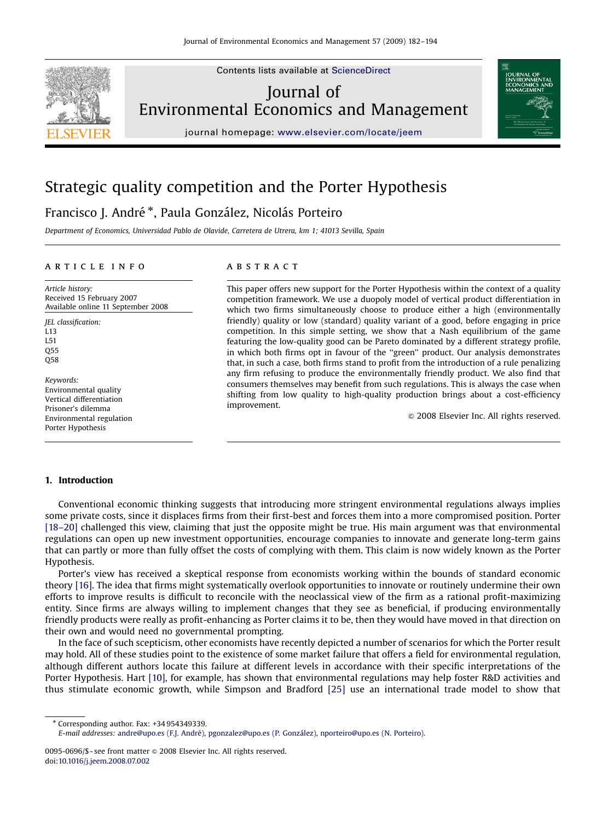

Contents lists available at [ScienceDirect](www.sciencedirect.com/science/journal/yjeem)

## Journal of Environmental Economics and Management



journal homepage: <www.elsevier.com/locate/jeem>

## Strategic quality competition and the Porter Hypothesis

### Francisco J. André \*, Paula González, Nicolás Porteiro

Department of Economics, Universidad Pablo de Olavide, Carretera de Utrera, km 1; 41013 Sevilla, Spain

#### article info

Article history: Received 15 February 2007 Available online 11 September 2008

JEL classification: L13 L51 Q55 Q58

Keywords: Environmental quality Vertical differentiation Prisoner's dilemma Environmental regulation Porter Hypothesis

#### **ABSTRACT**

This paper offers new support for the Porter Hypothesis within the context of a quality competition framework. We use a duopoly model of vertical product differentiation in which two firms simultaneously choose to produce either a high (environmentally friendly) quality or low (standard) quality variant of a good, before engaging in price competition. In this simple setting, we show that a Nash equilibrium of the game featuring the low-quality good can be Pareto dominated by a different strategy profile, in which both firms opt in favour of the ''green'' product. Our analysis demonstrates that, in such a case, both firms stand to profit from the introduction of a rule penalizing any firm refusing to produce the environmentally friendly product. We also find that consumers themselves may benefit from such regulations. This is always the case when shifting from low quality to high-quality production brings about a cost-efficiency improvement.

 $© 2008 Elsevier Inc. All rights reserved.$ 

### 1. Introduction

Conventional economic thinking suggests that introducing more stringent environmental regulations always implies some private costs, since it displaces firms from their first-best and forces them into a more compromised position. Porter [\[18–20\]](#page--1-0) challenged this view, claiming that just the opposite might be true. His main argument was that environmental regulations can open up new investment opportunities, encourage companies to innovate and generate long-term gains that can partly or more than fully offset the costs of complying with them. This claim is now widely known as the Porter Hypothesis.

Porter's view has received a skeptical response from economists working within the bounds of standard economic theory [\[16\]](#page--1-0). The idea that firms might systematically overlook opportunities to innovate or routinely undermine their own efforts to improve results is difficult to reconcile with the neoclassical view of the firm as a rational profit-maximizing entity. Since firms are always willing to implement changes that they see as beneficial, if producing environmentally friendly products were really as profit-enhancing as Porter claims it to be, then they would have moved in that direction on their own and would need no governmental prompting.

In the face of such scepticism, other economists have recently depicted a number of scenarios for which the Porter result may hold. All of these studies point to the existence of some market failure that offers a field for environmental regulation, although different authors locate this failure at different levels in accordance with their specific interpretations of the Porter Hypothesis. Hart [\[10\]](#page--1-0), for example, has shown that environmental regulations may help foster R&D activities and thus stimulate economic growth, while Simpson and Bradford [\[25\]](#page--1-0) use an international trade model to show that

- Corresponding author. Fax: +34 954349339.

E-mail addresses: [andre@upo.es \(F.J. Andre´\),](mailto:andre@upo.es) [pgonzalez@upo.es \(P. Gonza´lez\)](mailto:pgonzalez@upo.es), [nporteiro@upo.es \(N. Porteiro\)](mailto:nporteiro@upo.es).

<sup>0095-0696/\$ -</sup> see front matter  $\odot$  2008 Elsevier Inc. All rights reserved. doi:[10.1016/j.jeem.2008.07.002](dx.doi.org/10.1016/j.jeem.2008.07.002)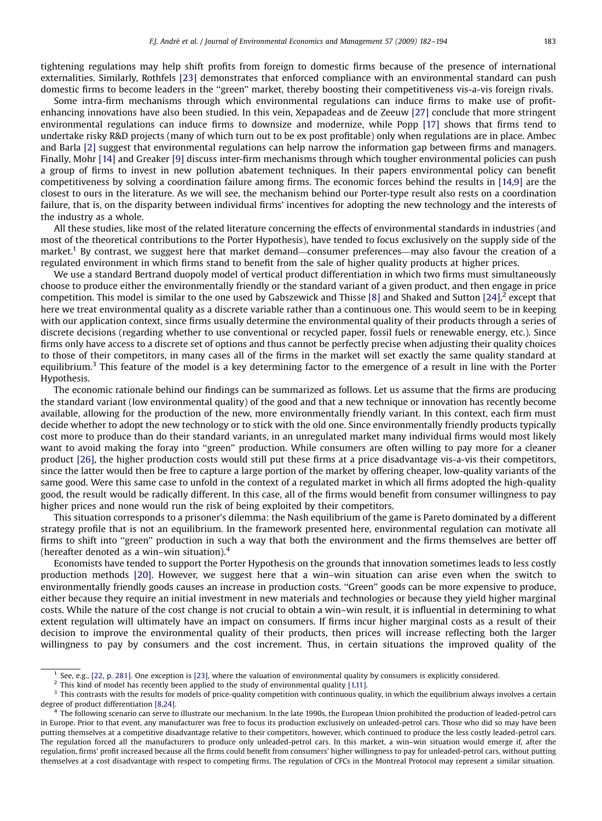tightening regulations may help shift profits from foreign to domestic firms because of the presence of international externalities. Similarly, Rothfels [\[23\]](#page--1-0) demonstrates that enforced compliance with an environmental standard can push domestic firms to become leaders in the ''green'' market, thereby boosting their competitiveness vis-a-vis foreign rivals.

Some intra-firm mechanisms through which environmental regulations can induce firms to make use of profitenhancing innovations have also been studied. In this vein, Xepapadeas and de Zeeuw [\[27\]](#page--1-0) conclude that more stringent environmental regulations can induce firms to downsize and modernize, while Popp [\[17\]](#page--1-0) shows that firms tend to undertake risky R&D projects (many of which turn out to be ex post profitable) only when regulations are in place. Ambec and Barla [\[2\]](#page--1-0) suggest that environmental regulations can help narrow the information gap between firms and managers. Finally, Mohr [\[14\]](#page--1-0) and Greaker [\[9\]](#page--1-0) discuss inter-firm mechanisms through which tougher environmental policies can push a group of firms to invest in new pollution abatement techniques. In their papers environmental policy can benefit competitiveness by solving a coordination failure among firms. The economic forces behind the results in [\[14,9\]](#page--1-0) are the closest to ours in the literature. As we will see, the mechanism behind our Porter-type result also rests on a coordination failure, that is, on the disparity between individual firms' incentives for adopting the new technology and the interests of the industry as a whole.

All these studies, like most of the related literature concerning the effects of environmental standards in industries (and most of the theoretical contributions to the Porter Hypothesis), have tended to focus exclusively on the supply side of the market.1 By contrast, we suggest here that market demand—consumer preferences—may also favour the creation of a regulated environment in which firms stand to benefit from the sale of higher quality products at higher prices.

We use a standard Bertrand duopoly model of vertical product differentiation in which two firms must simultaneously choose to produce either the environmentally friendly or the standard variant of a given product, and then engage in price competition. This model is similar to the one used by Gabszewick and Thisse [\[8\]](#page--1-0) and Shaked and Sutton [\[24\],](#page--1-0)<sup>2</sup> except that here we treat environmental quality as a discrete variable rather than a continuous one. This would seem to be in keeping with our application context, since firms usually determine the environmental quality of their products through a series of discrete decisions (regarding whether to use conventional or recycled paper, fossil fuels or renewable energy, etc.). Since firms only have access to a discrete set of options and thus cannot be perfectly precise when adjusting their quality choices to those of their competitors, in many cases all of the firms in the market will set exactly the same quality standard at equilibrium.<sup>3</sup> This feature of the model is a key determining factor to the emergence of a result in line with the Porter Hypothesis.

The economic rationale behind our findings can be summarized as follows. Let us assume that the firms are producing the standard variant (low environmental quality) of the good and that a new technique or innovation has recently become available, allowing for the production of the new, more environmentally friendly variant. In this context, each firm must decide whether to adopt the new technology or to stick with the old one. Since environmentally friendly products typically cost more to produce than do their standard variants, in an unregulated market many individual firms would most likely want to avoid making the foray into "green" production. While consumers are often willing to pay more for a cleaner product [\[26\]](#page--1-0), the higher production costs would still put these firms at a price disadvantage vis-a-vis their competitors, since the latter would then be free to capture a large portion of the market by offering cheaper, low-quality variants of the same good. Were this same case to unfold in the context of a regulated market in which all firms adopted the high-quality good, the result would be radically different. In this case, all of the firms would benefit from consumer willingness to pay higher prices and none would run the risk of being exploited by their competitors.

This situation corresponds to a prisoner's dilemma: the Nash equilibrium of the game is Pareto dominated by a different strategy profile that is not an equilibrium. In the framework presented here, environmental regulation can motivate all firms to shift into "green" production in such a way that both the environment and the firms themselves are better off (hereafter denoted as a win–win situation). $4$ 

Economists have tended to support the Porter Hypothesis on the grounds that innovation sometimes leads to less costly production methods [\[20\].](#page--1-0) However, we suggest here that a win–win situation can arise even when the switch to environmentally friendly goods causes an increase in production costs. ''Green'' goods can be more expensive to produce, either because they require an initial investment in new materials and technologies or because they yield higher marginal costs. While the nature of the cost change is not crucial to obtain a win–win result, it is influential in determining to what extent regulation will ultimately have an impact on consumers. If firms incur higher marginal costs as a result of their decision to improve the environmental quality of their products, then prices will increase reflecting both the larger willingness to pay by consumers and the cost increment. Thus, in certain situations the improved quality of the

See, e.g., [\[22, p. 281\]](#page--1-0). One exception is [\[23\]](#page--1-0), where the valuation of environmental quality by consumers is explicitly considered.

<sup>&</sup>lt;sup>2</sup> This kind of model has recently been applied to the study of environmental quality [\[1,11\]](#page--1-0).

<sup>&</sup>lt;sup>3</sup> This contrasts with the results for models of price-quality competition with continuous quality, in which the equilibrium always involves a certain degree of product differentiation [\[8,24\].](#page--1-0)

<sup>&</sup>lt;sup>4</sup> The following scenario can serve to illustrate our mechanism. In the late 1990s, the European Union prohibited the production of leaded-petrol cars in Europe. Prior to that event, any manufacturer was free to focus its production exclusively on unleaded-petrol cars. Those who did so may have been putting themselves at a competitive disadvantage relative to their competitors, however, which continued to produce the less costly leaded-petrol cars. The regulation forced all the manufacturers to produce only unleaded-petrol cars. In this market, a win–win situation would emerge if, after the regulation, firms' profit increased because all the firms could benefit from consumers' higher willingness to pay for unleaded-petrol cars, without putting themselves at a cost disadvantage with respect to competing firms. The regulation of CFCs in the Montreal Protocol may represent a similar situation.